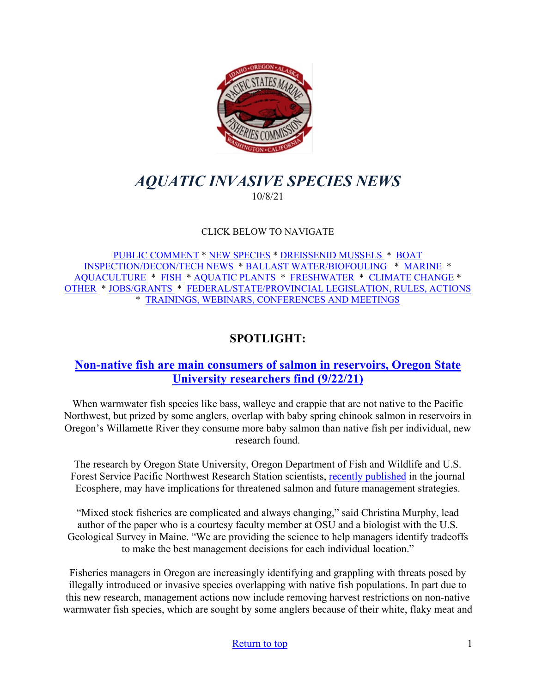

# <span id="page-0-0"></span>*AQUATIC INVASIVE SPECIES NEWS* 10/8/21

## CLICK BELOW TO NAVIGATE

[PUBLIC COMMENT](#page-1-0) \* [NEW SPECIES](#page-1-1) \* [DREISSENID MUSSELS](#page-2-0) \* [BOAT](#page-3-0)  [INSPECTION/DECON/TECH NEWS](#page-3-0) \* [BALLAST WATER/BIOFOULING](#page-4-0) \* [MARINE](#page-4-1) \* [AQUACULTURE](#page-5-0) \* [FISH](#page-5-1) \* [AQUATIC PLANTS](#page-6-0) \* [FRESHWATER](#page-6-1) \* [CLIMATE CHANGE](#page-7-0) \* [OTHER](#page-8-0) \* [JOBS/GRANTS](#page-8-1) \* [FEDERAL/STATE/PROVINCIAL LEGISLATION, RULES, ACTIONS](#page-13-0) \* [TRAININGS, WEBINARS, CONFERENCES AND MEETINGS](#page-17-0) 

# **SPOTLIGHT:**

## **[Non-native fish are main consumers of salmon in](https://today.oregonstate.edu/news/non-native-fish-are-main-consumers-salmon-reservoirs-researchers-find-0) reservoirs, Oregon State [University researchers find \(9/22/21\)](https://today.oregonstate.edu/news/non-native-fish-are-main-consumers-salmon-reservoirs-researchers-find-0)**

When warmwater fish species like bass, walleye and crappie that are not native to the Pacific Northwest, but prized by some anglers, overlap with baby spring chinook salmon in reservoirs in Oregon's Willamette River they consume more baby salmon than native fish per individual, new research found.

The research by Oregon State University, Oregon Department of Fish and Wildlife and U.S. Forest Service Pacific Northwest Research Station scientists, [recently published](https://esajournals.onlinelibrary.wiley.com/doi/10.1002/ecs2.3757) in the journal Ecosphere, may have implications for threatened salmon and future management strategies.

"Mixed stock fisheries are complicated and always changing," said Christina Murphy, lead author of the paper who is a courtesy faculty member at OSU and a biologist with the U.S. Geological Survey in Maine. "We are providing the science to help managers identify tradeoffs to make the best management decisions for each individual location."

Fisheries managers in Oregon are increasingly identifying and grappling with threats posed by illegally introduced or invasive species overlapping with native fish populations. In part due to this new research, management actions now include removing harvest restrictions on non-native warmwater fish species, which are sought by some anglers because of their white, flaky meat and

#### [Return to top](#page-0-0) 1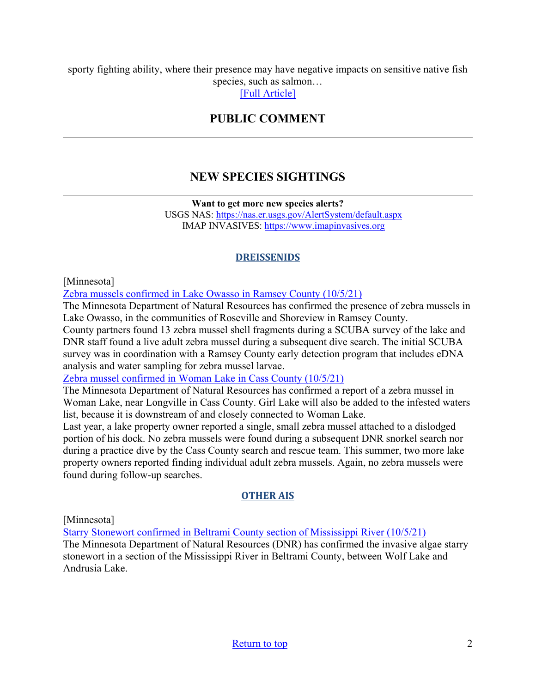<span id="page-1-1"></span><span id="page-1-0"></span>sporty fighting ability, where their presence may have negative impacts on sensitive native fish species, such as salmon…

[\[Full Article\]](https://today.oregonstate.edu/news/non-native-fish-are-main-consumers-salmon-reservoirs-researchers-find-0)

## **PUBLIC COMMENT**

# **NEW SPECIES SIGHTINGS**

**Want to get more new species alerts?**

USGS NAS:<https://nas.er.usgs.gov/AlertSystem/default.aspx> IMAP INVASIVES: [https://www.imapinvasives.org](https://www.imapinvasives.org/)

## **DREISSENIDS**

[Minnesota]

[Zebra mussels confirmed in Lake Owasso in Ramsey County \(10/5/21\)](https://www.dnr.state.mn.us/news/2021/10/05/zebra-mussels-confirmed-lake-owasso-ramsey-county)

The Minnesota Department of Natural Resources has confirmed the presence of zebra mussels in Lake Owasso, in the communities of Roseville and Shoreview in Ramsey County.

County partners found 13 zebra mussel shell fragments during a SCUBA survey of the lake and DNR staff found a live adult zebra mussel during a subsequent dive search. The initial SCUBA survey was in coordination with a Ramsey County early detection program that includes eDNA analysis and water sampling for zebra mussel larvae.

[Zebra mussel confirmed in Woman Lake in Cass County \(10/5/21\)](https://www.dnr.state.mn.us/news/2021/10/05/zebra-mussel-confirmed-woman-lake-cass-county)

The Minnesota Department of Natural Resources has confirmed a report of a zebra mussel in Woman Lake, near Longville in Cass County. Girl Lake will also be added to the infested waters list, because it is downstream of and closely connected to Woman Lake.

Last year, a lake property owner reported a single, small zebra mussel attached to a dislodged portion of his dock. No zebra mussels were found during a subsequent DNR snorkel search nor during a practice dive by the Cass County search and rescue team. This summer, two more lake property owners reported finding individual adult zebra mussels. Again, no zebra mussels were found during follow-up searches.

## **OTHER AIS**

[Minnesota]

[Starry Stonewort confirmed in Beltrami County section of Mississippi River \(10/5/21\)](https://www.dnr.state.mn.us/news/2021/10/05/starry-stonewort-confirmed-beltrami-county-section-mississippi-river)

The Minnesota Department of Natural Resources (DNR) has confirmed the invasive algae starry stonewort in a section of the Mississippi River in Beltrami County, between Wolf Lake and Andrusia Lake.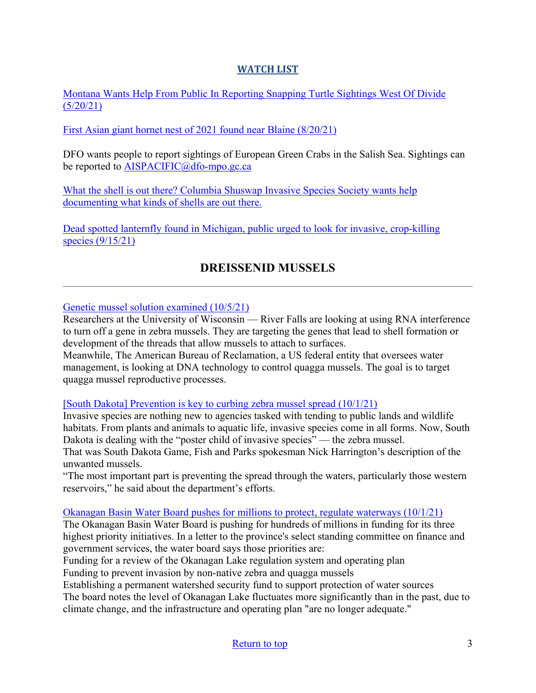## **WATCH LIST**

[Montana Wants Help From Public In Reporting Snapping Turtle Sightings West Of Divide](https://www.cbbulletin.com/montana-wants-help-from-public-in-reporting-snapping-turtle-sightings-west-of-divide/)   $(5/20/21)$ 

[First Asian giant hornet nest of 2021 found near Blaine \(8/20/21\)](https://www.newsbreak.com/news/2346988490362/first-asian-giant-hornet-nest-of-2021-found-near-blaine)

DFO wants people to report sightings of European Green Crabs in the Salish Sea. Sightings can be reported to [AISPACIFIC@dfo-mpo.gc.ca](mailto:AISPACIFIC@dfo-mpo.gc.ca)

What the shell is out there? Columbia Shuswap Invasive Species Society wants help [documenting what kinds of shells are out there.](https://www.castanet.net/news/Salmon-Arm/344047/Columbia-Shuswap-Invasive-Species-Society-wants-help-documenting-what-kinds-of-shells-are-out-there) 

<span id="page-2-0"></span>[Dead spotted lanternfly found in Michigan, public urged to look for invasive, crop-killing](https://www.mlive.com/news/2021/09/dead-spotted-lanternfly-found-in-michigan-public-urged-to-look-for-invasive-crop-killing-species.html)  [species \(9/15/21\)](https://www.mlive.com/news/2021/09/dead-spotted-lanternfly-found-in-michigan-public-urged-to-look-for-invasive-crop-killing-species.html)

# **DREISSENID MUSSELS**

[Genetic mussel solution examined \(10/5/21\)](https://oodmag.com/genetic-mussel-solution-examined/)

Researchers at the University of Wisconsin — River Falls are looking at using RNA interference to turn off a gene in zebra mussels. They are targeting the genes that lead to shell formation or development of the threads that allow mussels to attach to surfaces.

Meanwhile, The American Bureau of Reclamation, a US federal entity that oversees water management, is looking at DNA technology to control quagga mussels. The goal is to target quagga mussel reproductive processes.

## [\[South Dakota\] Prevention is key to curbing zebra mussel spread \(10/1/21\)](https://www.capjournal.com/news/prevention-is-key-to-curbing-zebra-mussel-spread/article_3e05857a-220c-11ec-bd56-030a29003690.html)

Invasive species are nothing new to agencies tasked with tending to public lands and wildlife habitats. From plants and animals to aquatic life, invasive species come in all forms. Now, South Dakota is dealing with the "poster child of invasive species" — the zebra mussel.

That was South Dakota Game, Fish and Parks spokesman Nick Harrington's description of the unwanted mussels.

"The most important part is preventing the spread through the waters, particularly those western reservoirs," he said about the department's efforts.

#### Okanagan Basin Water Board pushes for millions to protect, regulate waterways  $(10/1/21)$

The Okanagan Basin Water Board is pushing for hundreds of millions in funding for its three highest priority initiatives. In a letter to the province's select standing committee on finance and government services, the water board says those priorities are:

Funding for a review of the Okanagan Lake regulation system and operating plan Funding to prevent invasion by non-native zebra and quagga mussels

Establishing a permanent watershed security fund to support protection of water sources

The board notes the level of Okanagan Lake fluctuates more significantly than in the past, due to climate change, and the infrastructure and operating plan "are no longer adequate."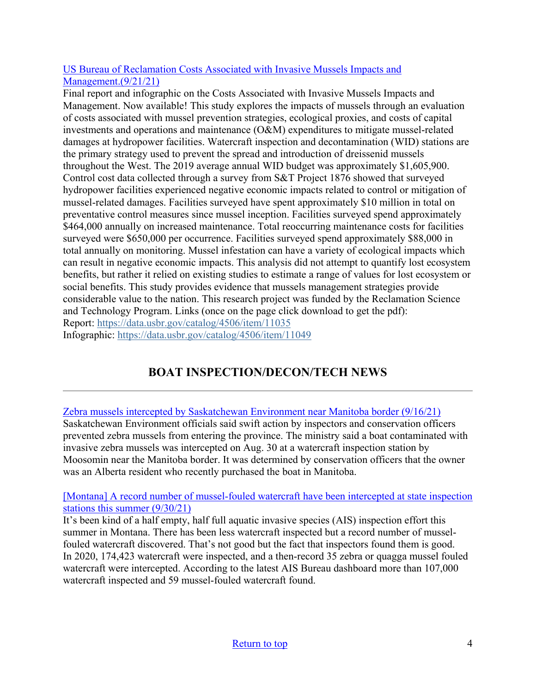## [US Bureau of Reclamation Costs Associated with Invasive Mussels Impacts and](https://data.usbr.gov/catalog/4506/item/11035)  [Management.\(9/21/21\)](https://data.usbr.gov/catalog/4506/item/11035)

Final report and infographic on the Costs Associated with Invasive Mussels Impacts and Management. Now available! This study explores the impacts of mussels through an evaluation of costs associated with mussel prevention strategies, ecological proxies, and costs of capital investments and operations and maintenance (O&M) expenditures to mitigate mussel-related damages at hydropower facilities. Watercraft inspection and decontamination (WID) stations are the primary strategy used to prevent the spread and introduction of dreissenid mussels throughout the West. The 2019 average annual WID budget was approximately \$1,605,900. Control cost data collected through a survey from S&T Project 1876 showed that surveyed hydropower facilities experienced negative economic impacts related to control or mitigation of mussel-related damages. Facilities surveyed have spent approximately \$10 million in total on preventative control measures since mussel inception. Facilities surveyed spend approximately \$464,000 annually on increased maintenance. Total reoccurring maintenance costs for facilities surveyed were \$650,000 per occurrence. Facilities surveyed spend approximately \$88,000 in total annually on monitoring. Mussel infestation can have a variety of ecological impacts which can result in negative economic impacts. This analysis did not attempt to quantify lost ecosystem benefits, but rather it relied on existing studies to estimate a range of values for lost ecosystem or social benefits. This study provides evidence that mussels management strategies provide considerable value to the nation. This research project was funded by the Reclamation Science and Technology Program. Links (once on the page click download to get the pdf): Report: [https://data.usbr.gov/catalog/4506/item/11035](https://lnks.gd/l/eyJhbGciOiJIUzI1NiJ9.eyJidWxsZXRpbl9saW5rX2lkIjoxMDEsInVyaSI6ImJwMjpjbGljayIsImJ1bGxldGluX2lkIjoiMjAyMTEwMDguNDcwNzIzNjEiLCJ1cmwiOiJodHRwczovL2djYzAyLnNhZmVsaW5rcy5wcm90ZWN0aW9uLm91dGxvb2suY29tLz9kYXRhPTA0JTdDMDElN0NzdXNhbl9wYXNrbyU0MGZ3cy5nb3YlN0NhMjVmMDdiZDhlYzg0NmIxYTljYjA4ZDk4MmQxN2UyYyU3QzA2OTNiNWJhNGIxODRkN2I5MzQxZjMyZjQwMGE1NDk0JTdDMCU3QzAlN0M2Mzc2ODQ2NTg1NzU5MjE5MTAlN0NVbmtub3duJTdDVFdGcGJHWnNiM2Q4ZXlKV0lqb2lNQzR3TGpBd01EQWlMQ0pRSWpvaVYybHVNeklpTENKQlRpSTZJazFoYVd3aUxDSlhWQ0k2TW4wJTNEJTdDMTAwMCZyZXNlcnZlZD0wJnNkYXRhPUZCZyUyQjdqTlk1NiUyQiUyQjlpYkFNcWZrMzdUZEtxeTB6UiUyRnZOWVczYVZPJTJCWE0wJTNEJnVybD1odHRwcyUzQSUyRiUyRmRhdGEudXNici5nb3YlMkZjYXRhbG9nJTJGNDUwNiUyRml0ZW0lMkYxMTAzNSUzRnV0bV9tZWRpdW0lM0RlbWFpbCUyNnV0bV9zb3VyY2UlM0Rnb3ZkZWxpdmVyeSZ1dG1fbWVkaXVtPWVtYWlsJnV0bV9zb3VyY2U9Z292ZGVsaXZlcnkifQ.oobGrpM6wEN-tn-jQ7D3UglhQdol2ko8p_SGRCvS6Qw/s/955051654/br/113591044299-l) Infographic: [https://data.usbr.gov/catalog/4506/item/11049](https://lnks.gd/l/eyJhbGciOiJIUzI1NiJ9.eyJidWxsZXRpbl9saW5rX2lkIjoxMDIsInVyaSI6ImJwMjpjbGljayIsImJ1bGxldGluX2lkIjoiMjAyMTEwMDguNDcwNzIzNjEiLCJ1cmwiOiJodHRwczovL2djYzAyLnNhZmVsaW5rcy5wcm90ZWN0aW9uLm91dGxvb2suY29tLz9kYXRhPTA0JTdDMDElN0NzdXNhbl9wYXNrbyU0MGZ3cy5nb3YlN0NhMjVmMDdiZDhlYzg0NmIxYTljYjA4ZDk4MmQxN2UyYyU3QzA2OTNiNWJhNGIxODRkN2I5MzQxZjMyZjQwMGE1NDk0JTdDMCU3QzAlN0M2Mzc2ODQ2NTg1NzU5MjE5MTAlN0NVbmtub3duJTdDVFdGcGJHWnNiM2Q4ZXlKV0lqb2lNQzR3TGpBd01EQWlMQ0pRSWpvaVYybHVNeklpTENKQlRpSTZJazFoYVd3aUxDSlhWQ0k2TW4wJTNEJTdDMTAwMCZyZXNlcnZlZD0wJnNkYXRhPVBYUWY2dXRzc3pxdWwyOEJaaXFYVE1rdzRSdjhkMW1mb3k4N09ZanZkem8lM0QmdXJsPWh0dHBzJTNBJTJGJTJGZGF0YS51c2JyLmdvdiUyRmNhdGFsb2clMkY0NTA2JTJGaXRlbSUyRjExMDQ5JTNGdXRtX21lZGl1bSUzRGVtYWlsJTI2dXRtX3NvdXJjZSUzRGdvdmRlbGl2ZXJ5JnV0bV9tZWRpdW09ZW1haWwmdXRtX3NvdXJjZT1nb3ZkZWxpdmVyeSJ9.gh_M88I0KQxnR_H5SFietPqjNrJM_nGCRkoLlHxxzq0/s/955051654/br/113591044299-l)

# **BOAT INSPECTION/DECON/TECH NEWS**

<span id="page-3-0"></span>[Zebra mussels intercepted by Saskatchewan Environment near Manitoba border \(9/16/21\)](https://globalnews.ca/news/8195597/zebra-mussels-saskatchewan-environment-manitoba-border/) Saskatchewan Environment officials said swift action by inspectors and conservation officers prevented zebra mussels from entering the province. The ministry said a boat contaminated with invasive zebra mussels was intercepted on Aug. 30 at a watercraft inspection station by Moosomin near the Manitoba border. It was determined by conservation officers that the owner was an Alberta resident who recently purchased the boat in Manitoba.

## [\[Montana\] A record number of mussel-fouled watercraft have been intercepted at state inspection](http://www.charkoosta.com/news/a-record-number-of-mussel-fouled-watercraft-have-been-intercepted-at-state-inspection-stations-this/article_5f5aa646-223f-11ec-ad33-738e5379b0bf.html)  [stations this summer \(9/30/21\)](http://www.charkoosta.com/news/a-record-number-of-mussel-fouled-watercraft-have-been-intercepted-at-state-inspection-stations-this/article_5f5aa646-223f-11ec-ad33-738e5379b0bf.html)

It's been kind of a half empty, half full aquatic invasive species (AIS) inspection effort this summer in Montana. There has been less watercraft inspected but a record number of musselfouled watercraft discovered. That's not good but the fact that inspectors found them is good. In 2020, 174,423 watercraft were inspected, and a then-record 35 zebra or quagga mussel fouled watercraft were intercepted. According to the latest AIS Bureau dashboard more than 107,000 watercraft inspected and 59 mussel-fouled watercraft found.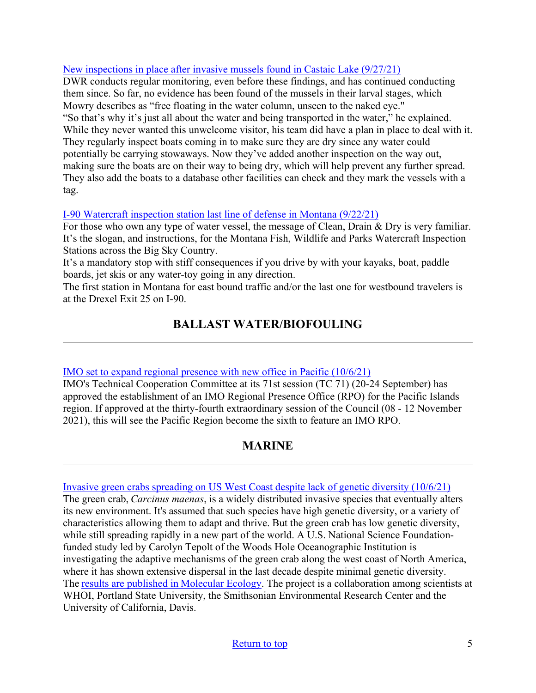## [New inspections in place after invasive mussels found in Castaic Lake \(9/27/21\)](https://spectrumnews1.com/ca/san-fernando-valley-ventura/environment/2021/09/27/new-inspections-in-place-after-invasive-mussels-found-in-castaic-lake)

DWR conducts regular monitoring, even before these findings, and has continued conducting them since. So far, no evidence has been found of the mussels in their larval stages, which Mowry describes as "free floating in the water column, unseen to the naked eye." "So that's why it's just all about the water and being transported in the water," he explained. While they never wanted this unwelcome visitor, his team did have a plan in place to deal with it. They regularly inspect boats coming in to make sure they are dry since any water could potentially be carrying stowaways. Now they've added another inspection on the way out, making sure the boats are on their way to being dry, which will help prevent any further spread. They also add the boats to a database other facilities can check and they mark the vessels with a tag.

## [I-90 Watercraft inspection station last line of defense in Montana \(9/22/21\)](https://vp-mi.com/news/2021/sep/22/i-90-watercraft-inspection-station-last-line-defen/)

For those who own any type of water vessel, the message of Clean, Drain & Dry is very familiar. It's the slogan, and instructions, for the Montana Fish, Wildlife and Parks Watercraft Inspection Stations across the Big Sky Country.

It's a mandatory stop with stiff consequences if you drive by with your kayaks, boat, paddle boards, jet skis or any water-toy going in any direction.

<span id="page-4-0"></span>The first station in Montana for east bound traffic and/or the last one for westbound travelers is at the Drexel Exit 25 on I-90.

# **BALLAST WATER/BIOFOULING**

## [IMO set to expand regional presence with new office in Pacific \(10/6/21\)](https://www.imo.org/en/MediaCentre/Pages/WhatsNew-1643.aspx)

IMO's Technical Cooperation Committee at its 71st session (TC 71) (20-24 September) has approved the establishment of an IMO Regional Presence Office (RPO) for the Pacific Islands region. If approved at the thirty-fourth extraordinary session of the Council (08 - 12 November 2021), this will see the Pacific Region become the sixth to feature an IMO RPO.

# **MARINE**

<span id="page-4-1"></span>[Invasive green crabs spreading on US West Coast despite lack of genetic diversity \(10/6/21\)](https://www.nsf.gov/discoveries/disc_summ.jsp?cntn_id=303624)

The green crab,*Carcinus maenas*, is a widely distributed invasive species that eventually alters its new environment. It's assumed that such species have high genetic diversity, or a variety of characteristics allowing them to adapt and thrive. But the green crab has low genetic diversity, while still spreading rapidly in a new part of the world. A U.S. National Science Foundationfunded study led by Carolyn Tepolt of the Woods Hole Oceanographic Institution is investigating the adaptive mechanisms of the green crab along the west coast of North America, where it has shown extensive dispersal in the last decade despite minimal genetic diversity. The[results are published in Molecular Ecology](https://doi.org/10.1111/mec.16143). The project is a collaboration among scientists at WHOI, Portland State University, the Smithsonian Environmental Research Center and the University of California, Davis.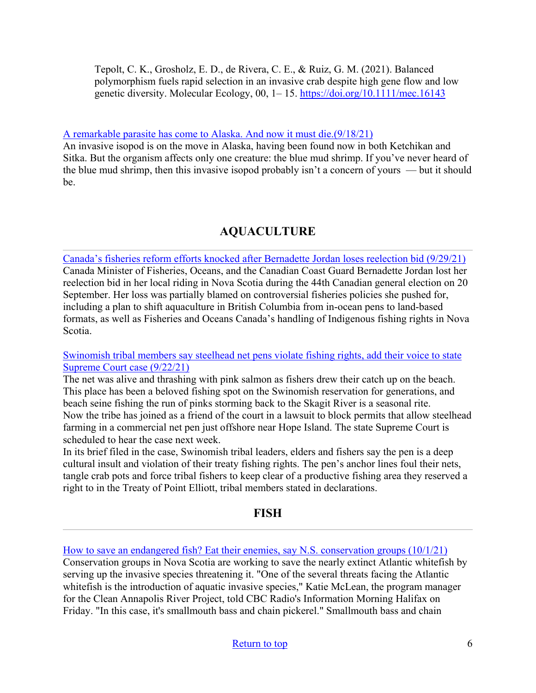Tepolt, C. K., Grosholz, E. D., de Rivera, C. E., & Ruiz, G. M. (2021). Balanced polymorphism fuels rapid selection in an invasive crab despite high gene flow and low genetic diversity. Molecular Ecology, 00, 1– 15.<https://doi.org/10.1111/mec.16143>

#### [A remarkable parasite has come to Alaska. And now it must die.\(9/18/21\)](https://www.kcaw.org/2021/09/18/a-remarkable-parasite-has-come-to-alaska-and-now-it-must-die/)

An invasive isopod is on the move in Alaska, having been found now in both Ketchikan and Sitka. But the organism affects only one creature: the blue mud shrimp. If you've never heard of the blue mud shrimp, then this invasive isopod probably isn't a concern of yours — but it should be.

# **AQUACULTURE**

<span id="page-5-0"></span>[Canada's fisheries reform efforts knocked after Bernadette Jordan loses reelection bid \(9/29/21\)](https://www.seafoodsource.com/news/supply-trade/canadas-fisheries-reform-efforts-knocked-after-bernadette-jordan-loses-reelection-bid) Canada Minister of Fisheries, Oceans, and the Canadian Coast Guard Bernadette Jordan lost her reelection bid in her local riding in Nova Scotia during the 44th Canadian general election on 20 September. Her loss was partially blamed on controversial fisheries policies she pushed for, including a plan to shift aquaculture in British Columbia from in-ocean pens to land-based formats, as well as Fisheries and Oceans Canada's handling of Indigenous fishing rights in Nova Scotia.

#### [Swinomish tribal members say steelhead net pens violate fishing rights, add their voice to state](https://www.seattletimes.com/seattle-news/environment/swinomish-tribal-members-say-steelhead-net-pens-violate-fishing-rights-as-they-add-their-voice-to-supreme-court-case/)  [Supreme Court case \(9/22/21\)](https://www.seattletimes.com/seattle-news/environment/swinomish-tribal-members-say-steelhead-net-pens-violate-fishing-rights-as-they-add-their-voice-to-supreme-court-case/)

The net was alive and thrashing with pink salmon as fishers drew their catch up on the beach. This place has been a beloved fishing spot on the Swinomish reservation for generations, and beach seine fishing the run of pinks storming back to the Skagit River is a seasonal rite. Now the tribe has joined as a friend of the court in a lawsuit to block permits that allow steelhead farming in a commercial net pen just offshore near Hope Island. The state Supreme Court is scheduled to hear the case next week.

In its brief filed in the case, Swinomish tribal leaders, elders and fishers say the pen is a deep cultural insult and violation of their treaty fishing rights. The pen's anchor lines foul their nets, tangle crab pots and force tribal fishers to keep clear of a productive fishing area they reserved a right to in the Treaty of Point Elliott, tribal members stated in declarations.

## **FISH**

<span id="page-5-1"></span>[How to save an endangered fish? Eat their enemies, say N.S. conservation groups \(10/1/21\)](https://www.cbc.ca/news/canada/nova-scotia/endangered-atlantic-whitefish-eat-invasive-species-1.6196456) Conservation groups in Nova Scotia are working to save the nearly extinct Atlantic whitefish by serving up the invasive species threatening it. "One of the several threats facing the Atlantic whitefish is the introduction of aquatic invasive species," Katie McLean, the program manager for the Clean Annapolis River Project, told CBC Radio's Information Morning Halifax on Friday. "In this case, it's smallmouth bass and chain pickerel." Smallmouth bass and chain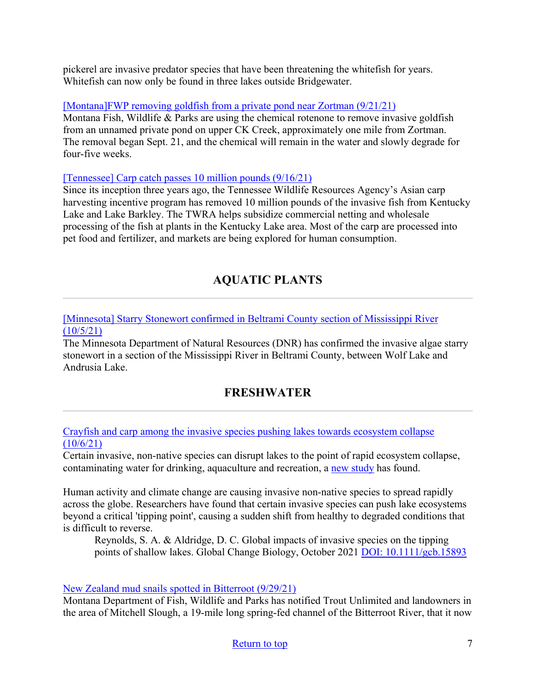pickerel are invasive predator species that have been threatening the whitefish for years. Whitefish can now only be found in three lakes outside Bridgewater.

[\[Montana\]FWP removing goldfish from a private pond near Zortman \(9/21/21\)](https://www.montanarightnow.com/montana/fwp-removing-goldfish-from-a-private-pond-near-zortman/article_8ea70c60-1b1d-11ec-8940-9f13eb7bb534.html)

Montana Fish, Wildlife & Parks are using the chemical rotenone to remove invasive goldfish from an unnamed private pond on upper CK Creek, approximately one mile from Zortman. The removal began Sept. 21, and the chemical will remain in the water and slowly degrade for four-five weeks.

<span id="page-6-0"></span>[\[Tennessee\] Carp catch passes 10 million pounds \(9/16/21\)](https://www.mainstreet-nashville.com/sports/outdoors-notebook-carp-catch-passes-10-million-pounds/article_d4efa292-078c-5539-82d0-3ce9b8e4c359.html)

Since its inception three years ago, the Tennessee Wildlife Resources Agency's Asian carp harvesting incentive program has removed 10 million pounds of the invasive fish from Kentucky Lake and Lake Barkley. The TWRA helps subsidize commercial netting and wholesale processing of the fish at plants in the Kentucky Lake area. Most of the carp are processed into pet food and fertilizer, and markets are being explored for human consumption.

# **AQUATIC PLANTS**

[\[Minnesota\] Starry Stonewort confirmed in Beltrami County section of Mississippi River](https://www.dnr.state.mn.us/news/2021/10/05/starry-stonewort-confirmed-beltrami-county-section-mississippi-river)   $(10/5/21)$ 

The Minnesota Department of Natural Resources (DNR) has confirmed the invasive algae starry stonewort in a section of the Mississippi River in Beltrami County, between Wolf Lake and Andrusia Lake.

# **FRESHWATER**

<span id="page-6-1"></span>[Crayfish and carp among the invasive species pushing lakes towards ecosystem collapse](https://www.sciencedaily.com/releases/2021/10/211006203601.htm)   $(10/6/21)$ 

Certain invasive, non-native species can disrupt lakes to the point of rapid ecosystem collapse, contaminating water for drinking, aquaculture and recreation, a [new study](https://www.repository.cam.ac.uk/handle/1810/327956) has found.

Human activity and climate change are causing invasive non-native species to spread rapidly across the globe. Researchers have found that certain invasive species can push lake ecosystems beyond a critical 'tipping point', causing a sudden shift from healthy to degraded conditions that is difficult to reverse.

Reynolds, S. A. & Aldridge, D. C. Global impacts of invasive species on the tipping points of shallow lakes. Global Change Biology, October 2021 [DOI: 10.1111/gcb.15893](https://www.repository.cam.ac.uk/handle/1810/327956)

## [New Zealand mud snails spotted in Bitterroot \(9/29/21\)](https://bitterrootstar.com/2021/09/new-zealand-mud-snails-spotted-in-bitterroot/?utm_source=rss&utm_medium=rss&utm_campaign=new-zealand-mud-snails-spotted-in-bitterroot)

Montana Department of Fish, Wildlife and Parks has notified Trout Unlimited and landowners in the area of Mitchell Slough, a 19-mile long spring-fed channel of the Bitterroot River, that it now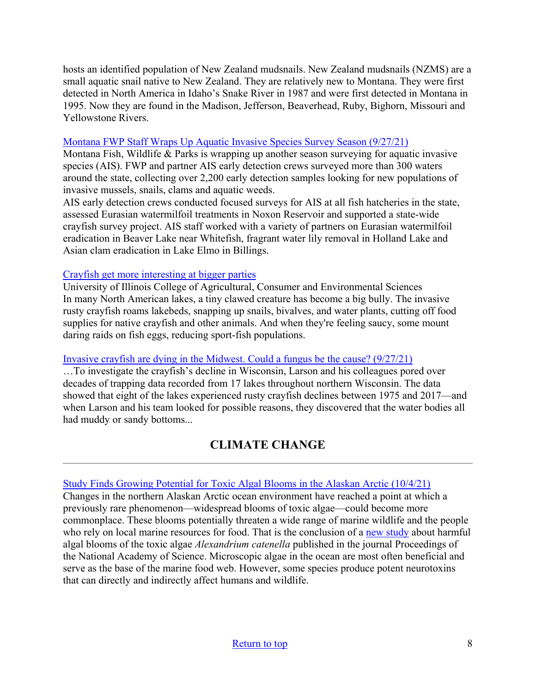hosts an identified population of New Zealand mudsnails. New Zealand mudsnails (NZMS) are a small aquatic snail native to New Zealand. They are relatively new to Montana. They were first detected in North America in Idaho's Snake River in 1987 and were first detected in Montana in 1995. Now they are found in the Madison, Jefferson, Beaverhead, Ruby, Bighorn, Missouri and Yellowstone Rivers.

#### [Montana FWP Staff Wraps Up Aquatic Invasive Species Survey Season \(9/27/21\)](https://fwp.mt.gov/homepage/news/2021/sept/0927-fish-wildlife--parks-staff-wraps-up-aquatic-invasive-species-survey)

Montana Fish, Wildlife & Parks is wrapping up another season surveying for aquatic invasive species (AIS). FWP and partner AIS early detection crews surveyed more than 300 waters around the state, collecting over 2,200 early detection samples looking for new populations of invasive mussels, snails, clams and aquatic weeds.

AIS early detection crews conducted focused surveys for AIS at all fish hatcheries in the state, assessed Eurasian watermilfoil treatments in Noxon Reservoir and supported a state-wide crayfish survey project. AIS staff worked with a variety of partners on Eurasian watermilfoil eradication in Beaver Lake near Whitefish, fragrant water lily removal in Holland Lake and Asian clam eradication in Lake Elmo in Billings.

#### [Crayfish get more interesting at bigger parties](https://www.sciencedaily.com/releases/2021/09/210927132055.htm)

University of Illinois College of Agricultural, Consumer and Environmental Sciences In many North American lakes, a tiny clawed creature has become a big bully. The invasive rusty crayfish roams lakebeds, snapping up snails, bivalves, and water plants, cutting off food supplies for native crayfish and other animals. And when they're feeling saucy, some mount daring raids on fish eggs, reducing sport-fish populations.

## [Invasive crayfish are dying in the Midwest. Could a fungus be the cause? \(9/27/21\)](https://www.nationalgeographic.com/animals/article/why-invasive-crayfish-are-dying-off-in-the-midwest)

…To investigate the crayfish's decline in Wisconsin, Larson and his colleagues pored over decades of trapping data recorded from 17 lakes throughout northern Wisconsin. The data showed that eight of the lakes experienced rusty crayfish declines between 1975 and 2017—and when Larson and his team looked for possible reasons, they discovered that the water bodies all had muddy or sandy bottoms...

# **CLIMATE CHANGE**

## <span id="page-7-0"></span>[Study Finds Growing Potential for Toxic Algal Blooms in the Alaskan Arctic \(10/4/21\)](https://www.fisheries.noaa.gov/feature-story/study-finds-growing-potential-toxic-algal-blooms-alaskan-arctic?utm_medium=email&utm_source=govdelivery)

Changes in the northern Alaskan Arctic ocean environment have reached a point at which a previously rare phenomenon—widespread blooms of toxic algae—could become more commonplace. These blooms potentially threaten a wide range of marine wildlife and the people who rely on local marine resources for food. That is the conclusion of a [new study](https://www.pnas.org/content/118/41/e2107387118) about harmful algal blooms of the toxic algae *Alexandrium catenella* published in the journal Proceedings of the National Academy of Science. Microscopic algae in the ocean are most often beneficial and serve as the base of the marine food web. However, some species produce potent neurotoxins that can directly and indirectly affect humans and wildlife.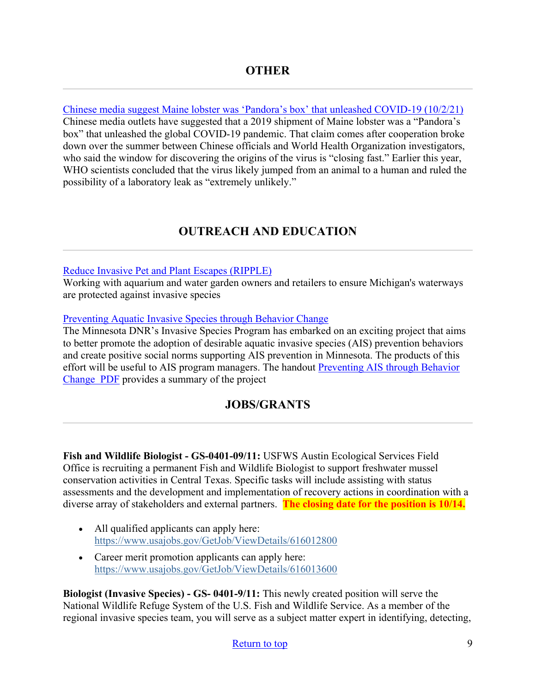<span id="page-8-0"></span>[Chinese media suggest Maine lobster was 'Pandora's box' that unleashed COVID-19 \(10/2/21\)](https://bangordailynews.com/2021/10/02/news/chinese-media-suggest-maine-lobster-was-pandoras-box-that-unleashed-covid-19/) Chinese media outlets have suggested that a 2019 shipment of Maine lobster was a "Pandora's box" that unleashed the global COVID-19 pandemic. That claim comes after cooperation broke down over the summer between Chinese officials and World Health Organization investigators, who said the window for discovering the origins of the virus is "closing fast." Earlier this year, WHO scientists concluded that the virus likely jumped from an animal to a human and ruled the possibility of a laboratory leak as "extremely unlikely."

# **OUTREACH AND EDUCATION**

## [Reduce Invasive Pet and Plant Escapes \(RIPPLE\)](https://www.canr.msu.edu/invasive_species/ripple/?utm_source=feedburnerNational+Invasive+Species+Information+Center+-+What%27s+New&utm_medium=email&utm_campaign=Feed%3A+nisic+%28National+Invasive+Species+Information+Center+-+What%27s+New%29)

Working with aquarium and water garden owners and retailers to ensure Michigan's waterways are protected against invasive species

#### [Preventing Aquatic Invasive Species through Behavior Change](https://www.dnr.state.mn.us/invasives/ais/prevention/behavior-change.html)

The Minnesota DNR's Invasive Species Program has embarked on an exciting project that aims to better promote the adoption of desirable aquatic invasive species (AIS) prevention behaviors and create positive social norms supporting AIS prevention in Minnesota. The products of this effort will be useful to AIS program managers. The handout [Preventing AIS through Behavior](https://files.dnr.state.mn.us/natural_resources/invasives/prevention/handout-preventing-ais-through-behavior-change.pdf)  [Change PDF](https://files.dnr.state.mn.us/natural_resources/invasives/prevention/handout-preventing-ais-through-behavior-change.pdf) provides a summary of the project

## **JOBS/GRANTS**

<span id="page-8-1"></span>**Fish and Wildlife Biologist - GS-0401-09/11:** USFWS Austin Ecological Services Field Office is recruiting a permanent Fish and Wildlife Biologist to support freshwater mussel conservation activities in Central Texas. Specific tasks will include assisting with status assessments and the development and implementation of recovery actions in coordination with a diverse array of stakeholders and external partners. **The closing date for the position is 10/14.**

- All qualified applicants can apply here: [https://www.usajobs.gov/GetJob/ViewDetails/616012800](https://lnks.gd/l/eyJhbGciOiJIUzI1NiJ9.eyJidWxsZXRpbl9saW5rX2lkIjoxMTcsInVyaSI6ImJwMjpjbGljayIsImJ1bGxldGluX2lkIjoiMjAyMTEwMDguNDcwNzIzNjEiLCJ1cmwiOiJodHRwczovL3d3dy51c2Fqb2JzLmdvdi9HZXRKb2IvVmlld0RldGFpbHMvNjE2MDEyODAwP3V0bV9tZWRpdW09ZW1haWwmdXRtX3NvdXJjZT1nb3ZkZWxpdmVyeSJ9.fqLLQ1mm2Jwh_kOrrewoIAMXFiiaroKT1Ei997qULss/s/955051654/br/113591044299-l)
- Career merit promotion applicants can apply here: [https://www.usajobs.gov/GetJob/ViewDetails/616013600](https://lnks.gd/l/eyJhbGciOiJIUzI1NiJ9.eyJidWxsZXRpbl9saW5rX2lkIjoxMTgsInVyaSI6ImJwMjpjbGljayIsImJ1bGxldGluX2lkIjoiMjAyMTEwMDguNDcwNzIzNjEiLCJ1cmwiOiJodHRwczovL3d3dy51c2Fqb2JzLmdvdi9HZXRKb2IvVmlld0RldGFpbHMvNjE2MDEzNjAwP3V0bV9tZWRpdW09ZW1haWwmdXRtX3NvdXJjZT1nb3ZkZWxpdmVyeSJ9.YC_mm9jfFNYFJQw82grBYdDaLD7H-_rcvKExrUJdcEM/s/955051654/br/113591044299-l)

**Biologist (Invasive Species) - GS- 0401-9/11:** This newly created position will serve the National Wildlife Refuge System of the U.S. Fish and Wildlife Service. As a member of the regional invasive species team, you will serve as a subject matter expert in identifying, detecting,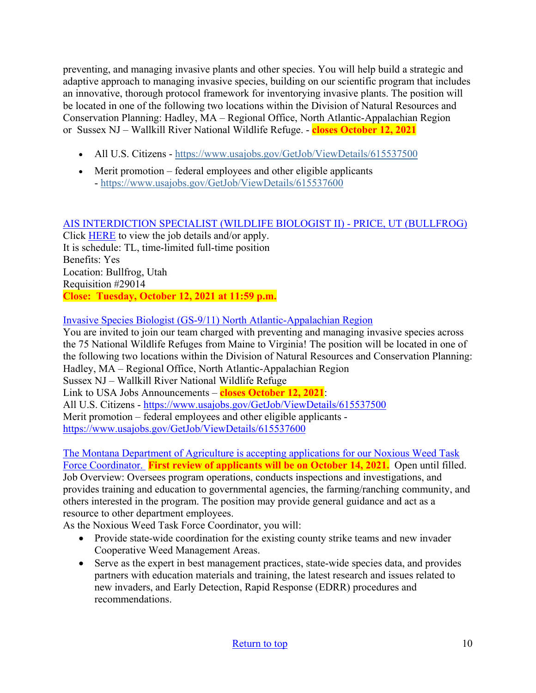preventing, and managing invasive plants and other species. You will help build a strategic and adaptive approach to managing invasive species, building on our scientific program that includes an innovative, thorough protocol framework for inventorying invasive plants. The position will be located in one of the following two locations within the Division of Natural Resources and Conservation Planning: Hadley, MA – Regional Office, North Atlantic-Appalachian Region or Sussex NJ – Wallkill River National Wildlife Refuge. - **closes October 12, 2021**

- All U.S. Citizens https://www.usajobs.gov/GetJob/ViewDetails/615537500
- Merit promotion federal employees and other eligible applicants - [https://www.usajobs.gov/GetJob/ViewDetails/615537600](https://lnks.gd/l/eyJhbGciOiJIUzI1NiJ9.eyJidWxsZXRpbl9saW5rX2lkIjoxMjAsInVyaSI6ImJwMjpjbGljayIsImJ1bGxldGluX2lkIjoiMjAyMTEwMDguNDcwNzIzNjEiLCJ1cmwiOiJodHRwczovL3d3dy51c2Fqb2JzLmdvdi9HZXRKb2IvVmlld0RldGFpbHMvNjE1NTM3NjAwP3V0bV9tZWRpdW09ZW1haWwmdXRtX3NvdXJjZT1nb3ZkZWxpdmVyeSJ9.0jEw80dLJT-jkBvkkw0lVAbmhQNvEn6hOnypSiGuG3A/s/955051654/br/113591044299-l)

## [AIS INTERDICTION SPECIALIST \(WILDLIFE BIOLOGIST II\) - PRICE, UT \(BULLFROG\)](https://www.governmentjobs.com/careers/utah/jobs/3238669/ais-interdiction-specialist?keywords=AIS%20INTERDICTION&pagetype=jobOpportunitiesJobs)

Click [HERE](https://www.governmentjobs.com/careers/utah/jobs/3238669/ais-interdiction-specialist?keywords=AIS%20INTERDICTION&pagetype=jobOpportunitiesJobs) to view the job details and/or apply. It is schedule: TL, time-limited full-time position Benefits: Yes Location: Bullfrog, Utah Requisition #29014 **Close: Tuesday, October 12, 2021 at 11:59 p.m.** 

## [Invasive Species Biologist \(GS-9/11\) North Atlantic-Appalachian Region](https://www.usajobs.gov/GetJob/ViewDetails/615537500)

You are invited to join our team charged with preventing and managing invasive species across the 75 National Wildlife Refuges from Maine to Virginia! The position will be located in one of the following two locations within the Division of Natural Resources and Conservation Planning: Hadley, MA – Regional Office, North Atlantic-Appalachian Region Sussex NJ – Wallkill River National Wildlife Refuge Link to USA Jobs Announcements – **closes October 12, 2021**: All U.S. Citizens -<https://www.usajobs.gov/GetJob/ViewDetails/615537500> Merit promotion – federal employees and other eligible applicants <https://www.usajobs.gov/GetJob/ViewDetails/615537600>

[The Montana Department of Agriculture is accepting applications for our Noxious Weed Task](https://mtstatejobs.taleo.net/careersection/200/jobdetail.ftl?job=21142397)  [Force Coordinator.](https://mtstatejobs.taleo.net/careersection/200/jobdetail.ftl?job=21142397) **First review of applicants will be on October 14, 2021.** Open until filled. Job Overview: Oversees program operations, conducts inspections and investigations, and provides training and education to governmental agencies, the farming/ranching community, and others interested in the program. The position may provide general guidance and act as a resource to other department employees.

As the Noxious Weed Task Force Coordinator, you will:

- Provide state-wide coordination for the existing county strike teams and new invader Cooperative Weed Management Areas.
- Serve as the expert in best management practices, state-wide species data, and provides partners with education materials and training, the latest research and issues related to new invaders, and Early Detection, Rapid Response (EDRR) procedures and recommendations.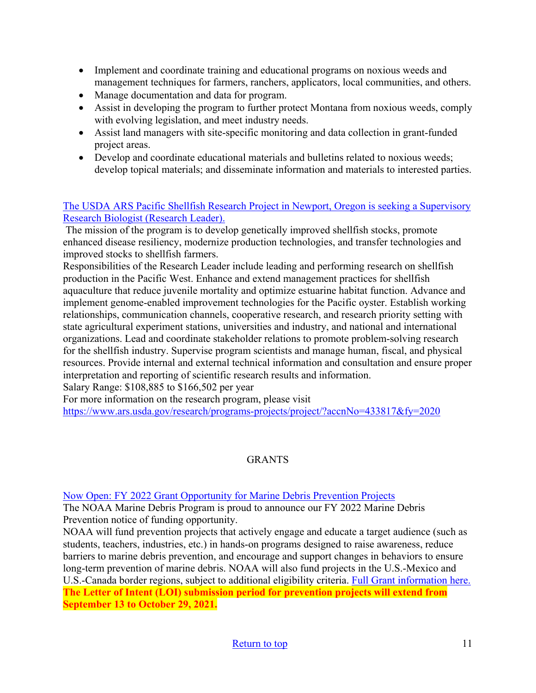- Implement and coordinate training and educational programs on noxious weeds and management techniques for farmers, ranchers, applicators, local communities, and others.
- Manage documentation and data for program.
- Assist in developing the program to further protect Montana from noxious weeds, comply with evolving legislation, and meet industry needs.
- Assist land managers with site-specific monitoring and data collection in grant-funded project areas.
- Develop and coordinate educational materials and bulletins related to noxious weeds; develop topical materials; and disseminate information and materials to interested parties.

## [The USDA ARS Pacific Shellfish Research Project in Newport, Oregon is seeking a Supervisory](https://www.ars.usda.gov/research/programs-projects/project/?accnNo=433817&fy=2020)  [Research Biologist \(Research Leader\).](https://www.ars.usda.gov/research/programs-projects/project/?accnNo=433817&fy=2020)

 The mission of the program is to develop genetically improved shellfish stocks, promote enhanced disease resiliency, modernize production technologies, and transfer technologies and improved stocks to shellfish farmers.

Responsibilities of the Research Leader include leading and performing research on shellfish production in the Pacific West. Enhance and extend management practices for shellfish aquaculture that reduce juvenile mortality and optimize estuarine habitat function. Advance and implement genome-enabled improvement technologies for the Pacific oyster. Establish working relationships, communication channels, cooperative research, and research priority setting with state agricultural experiment stations, universities and industry, and national and international organizations. Lead and coordinate stakeholder relations to promote problem-solving research for the shellfish industry. Supervise program scientists and manage human, fiscal, and physical resources. Provide internal and external technical information and consultation and ensure proper interpretation and reporting of scientific research results and information.

Salary Range: \$108,885 to \$166,502 per year

For more information on the research program, please visit

<https://www.ars.usda.gov/research/programs-projects/project/?accnNo=433817&fy=2020>

## **GRANTS**

## [Now Open: FY 2022 Grant Opportunity for Marine Debris Prevention Projects](https://blog.marinedebris.noaa.gov/now-open-fy-2022-grant-opportunity-marine-debris-prevention-projects)

The NOAA Marine Debris Program is proud to announce our FY 2022 Marine Debris Prevention notice of funding opportunity.

NOAA will fund prevention projects that actively engage and educate a target audience (such as students, teachers, industries, etc.) in hands-on programs designed to raise awareness, reduce barriers to marine debris prevention, and encourage and support changes in behaviors to ensure long-term prevention of marine debris. NOAA will also fund projects in the U.S.-Mexico and U.S.-Canada border regions, subject to additional eligibility criteria. [Full Grant information here.](https://www.grants.gov/web/grants/view-opportunity.html?oppId=335704)  **The Letter of Intent (LOI) submission period for prevention projects will extend from September 13 to October 29, 2021.**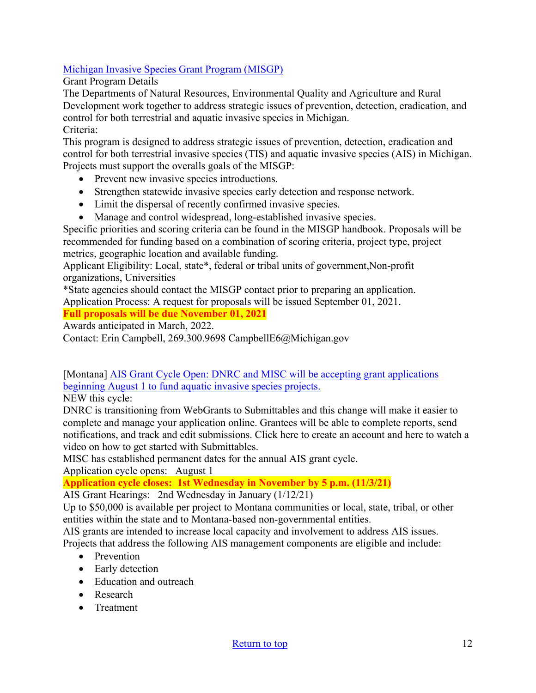## [Michigan Invasive Species Grant Program \(MISGP\)](https://www.michigan.gov/invasives/0,5664,7-324-71276_92000---,00.html)

Grant Program Details

The Departments of Natural Resources, Environmental Quality and Agriculture and Rural Development work together to address strategic issues of prevention, detection, eradication, and control for both terrestrial and aquatic invasive species in Michigan. Criteria:

This program is designed to address strategic issues of prevention, detection, eradication and control for both terrestrial invasive species (TIS) and aquatic invasive species (AIS) in Michigan. Projects must support the overalls goals of the MISGP:

- Prevent new invasive species introductions.
- Strengthen statewide invasive species early detection and response network.
- Limit the dispersal of recently confirmed invasive species.
- Manage and control widespread, long-established invasive species.

Specific priorities and scoring criteria can be found in the MISGP handbook. Proposals will be recommended for funding based on a combination of scoring criteria, project type, project metrics, geographic location and available funding.

Applicant Eligibility: Local, state\*, federal or tribal units of government,Non-profit organizations, Universities

\*State agencies should contact the MISGP contact prior to preparing an application.

Application Process: A request for proposals will be issued September 01, 2021.

**Full proposals will be due November 01, 2021** 

Awards anticipated in March, 2022.

Contact: Erin Campbell, 269.300.9698 CampbellE6@Michigan.gov

[Montana] AIS Grant Cycle Open: DNRC and MISC will be accepting grant applications beginning August 1 to fund aquatic invasive species projects.

NEW this cycle:

DNRC is transitioning from WebGrants to Submittables and this change will make it easier to complete and manage your application online. Grantees will be able to complete reports, send notifications, and track and edit submissions. Click here to create an account and here to watch a video on how to get started with Submittables.

MISC has established permanent dates for the annual AIS grant cycle.

Application cycle opens: August 1

**Application cycle closes: 1st Wednesday in November by 5 p.m. (11/3/21)** 

AIS Grant Hearings: 2nd Wednesday in January (1/12/21)

Up to \$50,000 is available per project to Montana communities or local, state, tribal, or other entities within the state and to Montana-based non-governmental entities.

AIS grants are intended to increase local capacity and involvement to address AIS issues.

Projects that address the following AIS management components are eligible and include:

- Prevention
- Early detection
- Education and outreach
- Research
- Treatment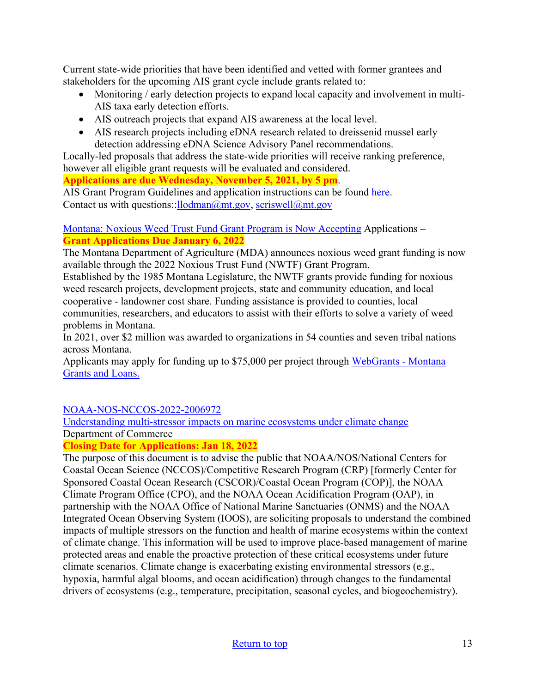Current state-wide priorities that have been identified and vetted with former grantees and stakeholders for the upcoming AIS grant cycle include grants related to:

- Monitoring / early detection projects to expand local capacity and involvement in multi-AIS taxa early detection efforts.
- AIS outreach projects that expand AIS awareness at the local level.
- AIS research projects including eDNA research related to dreissenid mussel early detection addressing eDNA Science Advisory Panel recommendations.

Locally-led proposals that address the state-wide priorities will receive ranking preference, however all eligible grant requests will be evaluated and considered.

**Applications are due Wednesday, November 5, 2021, by 5 pm**.

AIS Grant Program Guidelines and application instructions can be found [here.](https://invasivespecies.mt.gov/montana-invasive-species/Aquatic-Invasive-Species-Grant-Program) Contact us with questions:: $l$ lodman $@$ mt.gov, scriswell $@$ mt.gov

[Montana: Noxious Weed Trust Fund Grant Program is Now Accepting](https://agr.mt.gov/NoxiousWeedTrustFund) Applications – **Grant Applications Due January 6, 2022** 

The Montana Department of Agriculture (MDA) announces noxious weed grant funding is now available through the 2022 Noxious Trust Fund (NWTF) Grant Program.

Established by the 1985 Montana Legislature, the NWTF grants provide funding for noxious weed research projects, development projects, state and community education, and local cooperative - landowner cost share. Funding assistance is provided to counties, local communities, researchers, and educators to assist with their efforts to solve a variety of weed problems in Montana.

In 2021, over \$2 million was awarded to organizations in 54 counties and seven tribal nations across Montana.

Applicants may apply for funding up to \$75,000 per project through [WebGrants - Montana](https://agr.mt.gov/NoxiousWeedTrustFund)  [Grants and Loans.](https://agr.mt.gov/NoxiousWeedTrustFund) 

## [NOAA-NOS-NCCOS-2022-2006972](https://www.grants.gov/web/grants/view-opportunity.html?oppId=334906)

[Understanding multi-stressor impacts on marine ecosystems under climate change](https://www.grants.gov/web/grants/view-opportunity.html?oppId=334906) Department of Commerce

## **Closing Date for Applications: Jan 18, 2022**

The purpose of this document is to advise the public that NOAA/NOS/National Centers for Coastal Ocean Science (NCCOS)/Competitive Research Program (CRP) [formerly Center for Sponsored Coastal Ocean Research (CSCOR)/Coastal Ocean Program (COP)], the NOAA Climate Program Office (CPO), and the NOAA Ocean Acidification Program (OAP), in partnership with the NOAA Office of National Marine Sanctuaries (ONMS) and the NOAA Integrated Ocean Observing System (IOOS), are soliciting proposals to understand the combined impacts of multiple stressors on the function and health of marine ecosystems within the context of climate change. This information will be used to improve place-based management of marine protected areas and enable the proactive protection of these critical ecosystems under future climate scenarios. Climate change is exacerbating existing environmental stressors (e.g., hypoxia, harmful algal blooms, and ocean acidification) through changes to the fundamental drivers of ecosystems (e.g., temperature, precipitation, seasonal cycles, and biogeochemistry).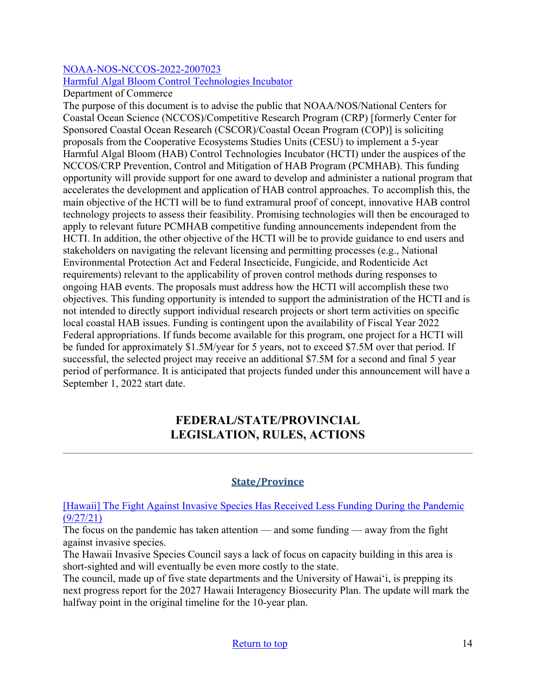## [NOAA-NOS-NCCOS-2022-2007023](https://www.grants.gov/web/grants/view-opportunity.html?oppId=335726)

## [Harmful Algal Bloom Control Technologies Incubator](https://www.grants.gov/web/grants/view-opportunity.html?oppId=335726)

Department of Commerce

The purpose of this document is to advise the public that NOAA/NOS/National Centers for Coastal Ocean Science (NCCOS)/Competitive Research Program (CRP) [formerly Center for Sponsored Coastal Ocean Research (CSCOR)/Coastal Ocean Program (COP)] is soliciting proposals from the Cooperative Ecosystems Studies Units (CESU) to implement a 5-year Harmful Algal Bloom (HAB) Control Technologies Incubator (HCTI) under the auspices of the NCCOS/CRP Prevention, Control and Mitigation of HAB Program (PCMHAB). This funding opportunity will provide support for one award to develop and administer a national program that accelerates the development and application of HAB control approaches. To accomplish this, the main objective of the HCTI will be to fund extramural proof of concept, innovative HAB control technology projects to assess their feasibility. Promising technologies will then be encouraged to apply to relevant future PCMHAB competitive funding announcements independent from the HCTI. In addition, the other objective of the HCTI will be to provide guidance to end users and stakeholders on navigating the relevant licensing and permitting processes (e.g., National Environmental Protection Act and Federal Insecticide, Fungicide, and Rodenticide Act requirements) relevant to the applicability of proven control methods during responses to ongoing HAB events. The proposals must address how the HCTI will accomplish these two objectives. This funding opportunity is intended to support the administration of the HCTI and is not intended to directly support individual research projects or short term activities on specific local coastal HAB issues. Funding is contingent upon the availability of Fiscal Year 2022 Federal appropriations. If funds become available for this program, one project for a HCTI will be funded for approximately \$1.5M/year for 5 years, not to exceed \$7.5M over that period. If successful, the selected project may receive an additional \$7.5M for a second and final 5 year period of performance. It is anticipated that projects funded under this announcement will have a September 1, 2022 start date.

# **FEDERAL/STATE/PROVINCIAL LEGISLATION, RULES, ACTIONS**

## **State/Province**

<span id="page-13-0"></span>[\[Hawaii\] The Fight Against Invasive Species Has Received Less Funding During the Pandemic](https://www.hawaiipublicradio.org/the-conversation/2021-09-27/pandemic-funding-away-from-fight-against-invasive-species)  [\(9/27/21\)](https://www.hawaiipublicradio.org/the-conversation/2021-09-27/pandemic-funding-away-from-fight-against-invasive-species)

The focus on the pandemic has taken attention — and some funding — away from the fight against invasive species.

The Hawaii Invasive Species Council says a lack of focus on capacity building in this area is short-sighted and will eventually be even more costly to the state.

The council, made up of five state departments and the University of Hawaiʻi, is prepping its next progress report for the 2027 Hawaii Interagency Biosecurity Plan. The update will mark the halfway point in the original timeline for the 10-year plan.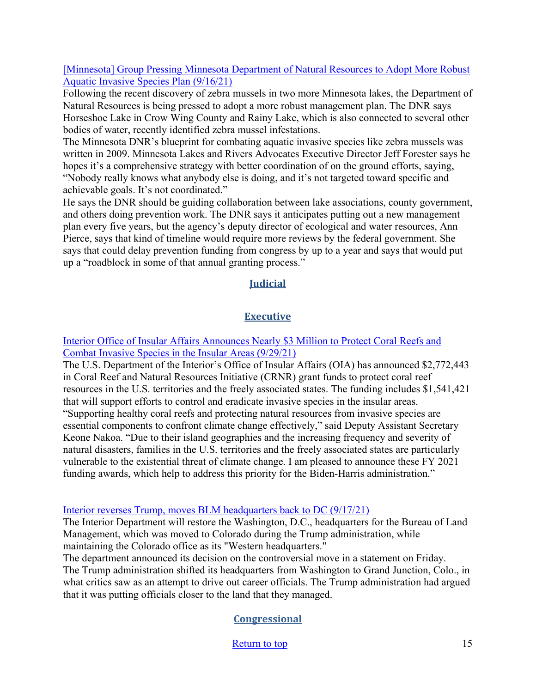#### [\[Minnesota\] Group Pressing Minnesota Department of Natural Resources to Adopt More Robust](https://knsiradio.com/2021/09/16/group-pressing-minnesota-department-of-natural-resources-to-adopt-more-robust-aquatic-invasive-species-plan/)  [Aquatic Invasive Species Plan \(9/16/21\)](https://knsiradio.com/2021/09/16/group-pressing-minnesota-department-of-natural-resources-to-adopt-more-robust-aquatic-invasive-species-plan/)

Following the recent discovery of zebra mussels in two more Minnesota lakes, the Department of Natural Resources is being pressed to adopt a more robust management plan. The DNR says Horseshoe Lake in Crow Wing County and Rainy Lake, which is also connected to several other bodies of water, recently identified zebra mussel infestations.

The Minnesota DNR's blueprint for combating aquatic invasive species like zebra mussels was written in 2009. Minnesota Lakes and Rivers Advocates Executive Director Jeff Forester says he hopes it's a comprehensive strategy with better coordination of on the ground efforts, saying, "Nobody really knows what anybody else is doing, and it's not targeted toward specific and achievable goals. It's not coordinated."

He says the DNR should be guiding collaboration between lake associations, county government, and others doing prevention work. The DNR says it anticipates putting out a new management plan every five years, but the agency's deputy director of ecological and water resources, Ann Pierce, says that kind of timeline would require more reviews by the federal government. She says that could delay prevention funding from congress by up to a year and says that would put up a "roadblock in some of that annual granting process."

## **Judicial**

## **Executive**

[Interior Office of Insular Affairs Announces Nearly \\$3 Million to Protect Coral Reefs and](https://www.doi.gov/oia/press/interior-office-insular-affairs-announces-nearly-3-million-protect-coral-reefs-and-combat?utm_source=feedburnerNational+Invasive+Species+Information+Center+-+What%27s+New&utm_medium=email&utm_campaign=Feed%3A+nisic+%28National+Invasive+Species+Information+Center+-+What%27s+New%29)  [Combat Invasive Species in the Insular Areas \(9/29/21\)](https://www.doi.gov/oia/press/interior-office-insular-affairs-announces-nearly-3-million-protect-coral-reefs-and-combat?utm_source=feedburnerNational+Invasive+Species+Information+Center+-+What%27s+New&utm_medium=email&utm_campaign=Feed%3A+nisic+%28National+Invasive+Species+Information+Center+-+What%27s+New%29)

The U.S. Department of the Interior's Office of Insular Affairs (OIA) has announced \$2,772,443 in Coral Reef and Natural Resources Initiative (CRNR) grant funds to protect coral reef resources in the U.S. territories and the freely associated states. The funding includes \$1,541,421 that will support efforts to control and eradicate invasive species in the insular areas. "Supporting healthy coral reefs and protecting natural resources from invasive species are essential components to confront climate change effectively," said Deputy Assistant Secretary Keone Nakoa. "Due to their island geographies and the increasing frequency and severity of natural disasters, families in the U.S. territories and the freely associated states are particularly vulnerable to the existential threat of climate change. I am pleased to announce these FY 2021 funding awards, which help to address this priority for the Biden-Harris administration."

#### [Interior reverses Trump, moves BLM headquarters back to DC \(9/17/21\)](https://thehill.com/policy/energy-environment/572796-interior-to-restore-dc-land-management-hq-while-also-maintaining)

The Interior Department will restore the Washington, D.C., headquarters for the Bureau of Land Management, which was moved to Colorado during the Trump administration, while maintaining the Colorado office as its "Western headquarters."

The department announced its decision on the controversial move in a statement on Friday.

The Trump administration shifted its headquarters from Washington to Grand Junction, Colo., in what critics saw as an attempt to drive out career officials. The Trump administration had argued that it was putting officials closer to the land that they managed.

## **Congressional**

[Return to top](#page-0-0) 15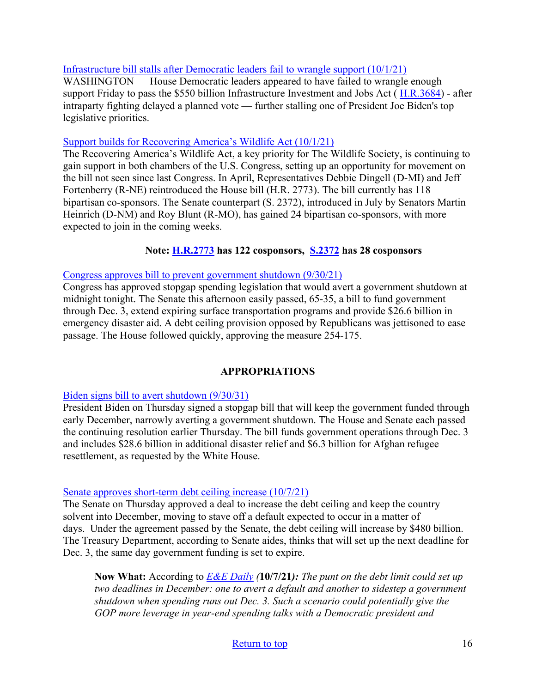#### Infrastructure bill stalls after Democratic leaders fail to wrangle support  $(10/1/21)$

WASHINGTON — House Democratic leaders appeared to have failed to wrangle enough support Friday to pass the \$550 billion Infrastructure Investment and Jobs Act ( [H.R.3684\)](https://www.congress.gov/bill/117th-congress/house-bill/3684) - after intraparty fighting delayed a planned vote — further stalling one of President Joe Biden's top legislative priorities.

#### [Support builds for Recovering America's Wildlife Act \(10/1/21\)](https://wildlife.org/support-builds-for-recovering-americas-wildlife-act/)

The Recovering America's Wildlife Act, a key priority for The Wildlife Society, is continuing to gain support in both chambers of the U.S. Congress, setting up an opportunity for movement on the bill not seen since last Congress. In April, Representatives Debbie Dingell (D-MI) and Jeff Fortenberry (R-NE) reintroduced the House bill (H.R. 2773). The bill currently has 118 bipartisan co-sponsors. The Senate counterpart (S. 2372), introduced in July by Senators Martin Heinrich (D-NM) and Roy Blunt (R-MO), has gained 24 bipartisan co-sponsors, with more expected to join in the coming weeks.

## **Note: [H.R.2773](https://www.congress.gov/bill/117th-congress/house-bill/2773) has 122 cosponsors, [S.2372](https://www.congress.gov/bill/117th-congress/senate-bill/2372) has 28 cosponsors**

#### [Congress approves bill to prevent government shutdown \(9/30/21\)](https://www.eenews.net/articles/congress-approves-bill-to-prevent-government-shutdown/)

Congress has approved stopgap spending legislation that would avert a government shutdown at midnight tonight. The Senate this afternoon easily passed, 65-35, a bill to fund government through Dec. 3, extend expiring surface transportation programs and provide \$26.6 billion in emergency disaster aid. A debt ceiling provision opposed by Republicans was jettisoned to ease passage. The House followed quickly, approving the measure 254-175.

## **APPROPRIATIONS**

## [Biden signs bill to avert shutdown \(9/30/31\)](https://thehill.com/homenews/administration/574784-biden-signs-bill-to-avert-shutdown)

President Biden on Thursday signed a stopgap bill that will keep the government funded through early December, narrowly averting a government shutdown. The House and Senate each passed the continuing resolution earlier Thursday. The bill funds government operations through Dec. 3 and includes \$28.6 billion in additional disaster relief and \$6.3 billion for Afghan refugee resettlement, as requested by the White House.

## [Senate approves short-term debt ceiling increase \(10/7/21\)](https://thehill.com/homenews/senate/575874-senate-approves-short-term-debt-ceiling-increase)

The Senate on Thursday approved a deal to increase the debt ceiling and keep the country solvent into December, moving to stave off a default expected to occur in a matter of days. Under the agreement passed by the Senate, the debt ceiling will increase by \$480 billion. The Treasury Department, according to Senate aides, thinks that will set up the next deadline for Dec. 3, the same day government funding is set to expire.

**Now What:** According to *[E&E Daily](https://subscriber.politicopro.com/eenews) (***10/7/21***): The punt on the debt limit could set up two deadlines in December: one to avert a default and another to sidestep a government shutdown when spending runs out Dec. 3. Such a scenario could potentially give the GOP more leverage in year-end spending talks with a Democratic president and* 

## [Return to top](#page-0-0) 16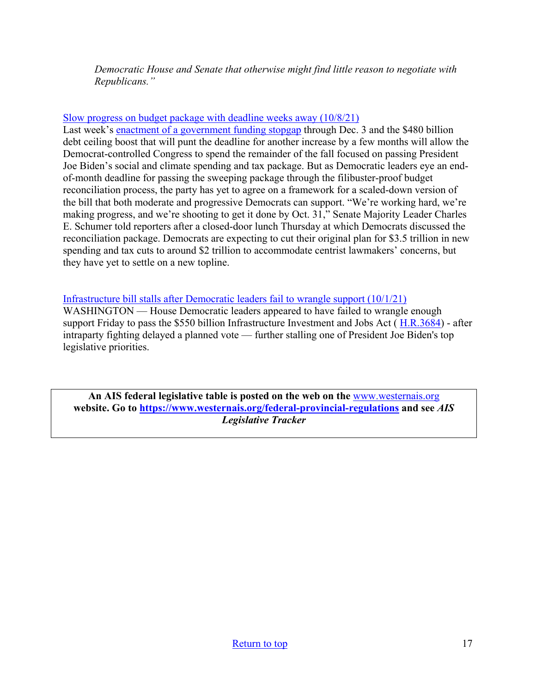*Democratic House and Senate that otherwise might find little reason to negotiate with Republicans."*

#### [Slow progress on budget package with deadline weeks away \(10/8/21\)](https://www.rollcall.com/2021/10/08/slow-progress-on-budget-package-with-deadline-weeks-away/)

Last week's [enactment of a government funding stopgap](https://www.rollcall.com/2021/09/30/house-clears-short-term-spending-bill-to-avert-shutdown/) through Dec. 3 and the \$480 billion debt ceiling boost that will punt the deadline for another increase by a few months will allow the Democrat-controlled Congress to spend the remainder of the fall focused on passing President Joe Biden's social and climate spending and tax package. But as Democratic leaders eye an endof-month deadline for passing the sweeping package through the filibuster-proof budget reconciliation process, the party has yet to agree on a framework for a scaled-down version of the bill that both moderate and progressive Democrats can support. "We're working hard, we're making progress, and we're shooting to get it done by Oct. 31," Senate Majority Leader Charles E. Schumer told reporters after a closed-door lunch Thursday at which Democrats discussed the reconciliation package. Democrats are expecting to cut their original plan for \$3.5 trillion in new spending and tax cuts to around \$2 trillion to accommodate centrist lawmakers' concerns, but they have yet to settle on a new topline.

Infrastructure bill stalls after Democratic leaders fail to wrangle support  $(10/1/21)$ WASHINGTON — House Democratic leaders appeared to have failed to wrangle enough support Friday to pass the \$550 billion Infrastructure Investment and Jobs Act ( [H.R.3684\)](https://www.congress.gov/bill/117th-congress/house-bill/3684) - after intraparty fighting delayed a planned vote — further stalling one of President Joe Biden's top legislative priorities.

**An AIS federal legislative table is posted on the web on the** [www.westernais.org](http://www.westernais.org/) **website. Go to<https://www.westernais.org/federal-provincial-regulations> and see** *AIS Legislative Tracker*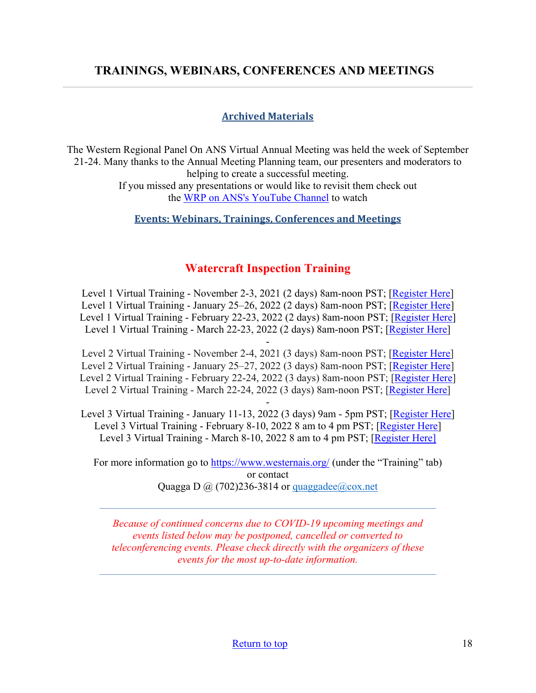# <span id="page-17-0"></span>**TRAININGS, WEBINARS, CONFERENCES AND MEETINGS**

#### **Archived Materials**

The Western Regional Panel On ANS Virtual Annual Meeting was held the week of September 21-24. Many thanks to the Annual Meeting Planning team, our presenters and moderators to helping to create a successful meeting. If you missed any presentations or would like to revisit them check out the [WRP on ANS's YouTube Channel](https://www.youtube.com/channel/UC_cCPHPfa6GtFvVzjoJc2CQ) to watch

**Events: Webinars, Trainings, Conferences and Meetings**

## **Watercraft Inspection Training**

Level 1 Virtual Training - November 2-3, 2021 (2 days) 8am-noon PST; [\[Register Here\]](https://us02web.zoom.us/meeting/register/tZAlcOuoqTkrG9xGOjP0h3ywaBfCJUv_dXh1) Level 1 Virtual Training - January 25–26, 2022 (2 days) 8am-noon PST; [\[Register Here\]](https://us02web.zoom.us/meeting/register/tZAkfuuqrjMtGdE-3JkpwtYRsat5pIzbttla) Level 1 Virtual Training - February 22-23, 2022 (2 days) 8am-noon PST; [\[Register Here\]](https://us02web.zoom.us/meeting/register/tZYrfuCsqD4qHNE2BOiqfC0RIGgYVmJwGHlD) Level 1 Virtual Training - March 22-23, 2022 (2 days) 8am-noon PST; [\[Register Here\]](https://us02web.zoom.us/meeting/register/tZcpcO-hpz8jGNJ6Weax-__pDobzlIzmahMU)

- Level 2 Virtual Training - November 2-4, 2021 (3 days) 8am-noon PST; [\[Register](https://us02web.zoom.us/meeting/register/tZAlcOuoqTkrG9xGOjP0h3ywaBfCJUv_dXh1) Here] Level 2 Virtual Training - January 25–27, 2022 (3 days) 8am-noon PST; [\[Register Here\]](https://us02web.zoom.us/meeting/register/tZAkfuuqrjMtGdE-3JkpwtYRsat5pIzbttla) Level 2 Virtual Training - February 22-24, 2022 (3 days) 8am-noon PST; [\[Register Here\]](https://us02web.zoom.us/meeting/register/tZYrfuCsqD4qHNE2BOiqfC0RIGgYVmJwGHlD) Level 2 Virtual Training - March 22-24, 2022 (3 days) 8am-noon PST; [\[Register Here\]](https://us02web.zoom.us/meeting/register/tZcpcO-hpz8jGNJ6Weax-__pDobzlIzmahMU)

- Level 3 Virtual Training - January 11-13, 2022 (3 days) 9am - 5pm PST; [\[Register Here\]](https://us02web.zoom.us/meeting/register/tZUlceusrz8tEtxpkyyr9PfPy9piCHkIki8K) Level 3 Virtual Training - February 8-10, 2022 8 am to 4 pm PST; [\[Register Here\]](https://us02web.zoom.us/meeting/register/tZYqd-6oqzwiEtW6Wi8APl6yvFnI3kX8wASM) Level 3 Virtual Training - March 8-10, 2022 8 am to 4 pm PST; [\[Register Here\]](https://us02web.zoom.us/meeting/register/tZIqcOCspjgoGNZwELYrMT8J9RJzGDf94Aza)

For more information go to<https://www.westernais.org/> (under the "Training" tab) or contact Quagga D  $\omega$  (702)236-3814 or quaggadee $\omega$ cox.net

*Because of continued concerns due to COVID-19 upcoming meetings and events listed below may be postponed, cancelled or converted to teleconferencing events. Please check directly with the organizers of these events for the most up-to-date information.*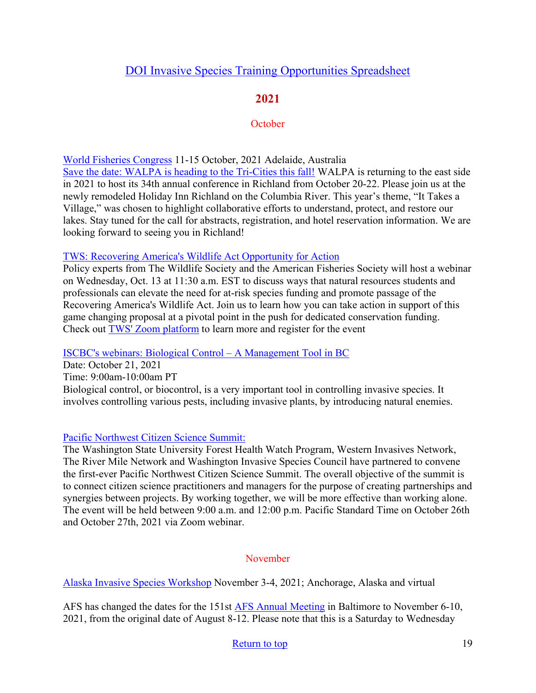# [DOI Invasive Species Training Opportunities Spreadsheet](https://www.doi.gov/sites/doi.gov/files/doi-invasive-species-training-opportunities.pdf)

# **2021**

## **October**

[World Fisheries Congress](https://wfc2020.com.au/) 11-15 October, 2021 Adelaide, Australia [Save the date: WALPA is heading to the Tri-Cities this fall!](https://www.walpa.org/waterline/march-2021/save-the-date-walpa-is-heading-to-the-tri-cities-this-fall/) WALPA is returning to the east side in 2021 to host its 34th annual conference in Richland from October 20-22. Please join us at the newly remodeled Holiday Inn Richland on the Columbia River. This year's theme, "It Takes a Village," was chosen to highlight collaborative efforts to understand, protect, and restore our lakes. Stay tuned for the call for abstracts, registration, and hotel reservation information. We are looking forward to seeing you in Richland!

## [TWS: Recovering America's Wildlife Act Opportunity for Action](https://us06web.zoom.us/webinar/register/WN_7_ADGlNMSVO8Puz3lbpOaQ)

Policy experts from The Wildlife Society and the American Fisheries Society will host a webinar on Wednesday, Oct. 13 at 11:30 a.m. EST to discuss ways that natural resources students and professionals can elevate the need for at-risk species funding and promote passage of the Recovering America's Wildlife Act. Join us to learn how you can take action in support of this game changing proposal at a pivotal point in the push for dedicated conservation funding. Check out [TWS' Zoom platform](https://us06web.zoom.us/webinar/register/WN_7_ADGlNMSVO8Puz3lbpOaQ) to learn more and register for the event

[ISCBC's webinars: Biological Control – A Management Tool in BC](https://bcinvasives.ca/news/webinar-biocontrol/)

Date: October 21, 2021 Time: 9:00am-10:00am PT Biological control, or biocontrol, is a very important tool in controlling invasive species. It involves controlling various pests, including invasive plants, by introducing natural enemies.

## [Pacific Northwest Citizen Science Summit:](https://pnwcitsci.org/)

The Washington State University Forest Health Watch Program, Western Invasives Network, The River Mile Network and Washington Invasive Species Council have partnered to convene the first-ever Pacific Northwest Citizen Science Summit. The overall objective of the summit is to connect citizen science practitioners and managers for the purpose of creating partnerships and synergies between projects. By working together, we will be more effective than working alone. The event will be held between 9:00 a.m. and 12:00 p.m. Pacific Standard Time on October 26th and October 27th, 2021 via Zoom webinar.

## November

[Alaska Invasive Species Workshop](https://uaf.edu/ces/invasives/conference/?utm_medium=email&utm_source=govdelivery) November 3-4, 2021; Anchorage, Alaska and virtual

AFS has changed the dates for the 151st [AFS Annual Meeting](https://fisheries.org/) in Baltimore to November 6-10, 2021, from the original date of August 8-12. Please note that this is a Saturday to Wednesday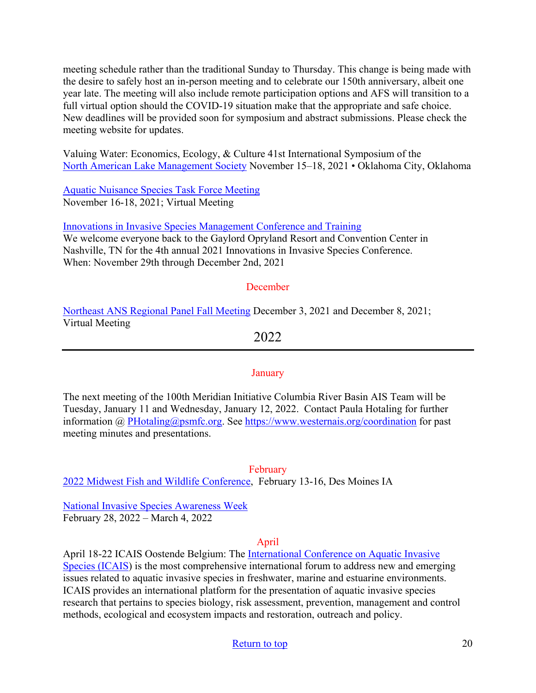meeting schedule rather than the traditional Sunday to Thursday. This change is being made with the desire to safely host an in-person meeting and to celebrate our 150th anniversary, albeit one year late. The meeting will also include remote participation options and AFS will transition to a full virtual option should the COVID-19 situation make that the appropriate and safe choice. New deadlines will be provided soon for symposium and abstract submissions. Please check the meeting website for updates.

Valuing Water: Economics, Ecology, & Culture 41st International Symposium of the [North American Lake Management Society](https://www.nalms.org/) November 15–18, 2021 • Oklahoma City, Oklahoma

[Aquatic Nuisance Species Task Force Meeting](https://www.fws.gov/anstaskforce/meetings.php) November 16-18, 2021; Virtual Meeting

[Innovations in Invasive Species Management Conference and Training](https://www.invasiveplantcontrol.com/conference21/)

We welcome everyone back to the Gaylord Opryland Resort and Convention Center in Nashville, TN for the 4th annual 2021 Innovations in Invasive Species Conference. When: November 29th through December 2nd, 2021

## December

[Northeast ANS Regional Panel Fall Meeting](https://www.northeastans.org/index.php/home/meetings-and-panel-information/?utm_medium=email&utm_source=govdelivery) December 3, 2021 and December 8, 2021; Virtual Meeting

2022

## **January**

The next meeting of the 100th Meridian Initiative Columbia River Basin AIS Team will be Tuesday, January 11 and Wednesday, January 12, 2022.Contact Paula Hotaling for further information @ [PHotaling@psmfc.org.](mailto:PHotaling@psmfc.org) See<https://www.westernais.org/coordination>for past meeting minutes and presentations.

February

[2022 Midwest Fish and Wildlife Conference,](http://www.midwestfw.org/html/call-for-symposia.shtml) February 13-16, Des Moines IA

[National Invasive Species Awareness Week](https://www.nisaw.org/?utm_medium=email&utm_source=govdelivery) February 28, 2022 – March 4, 2022

## April

April 18-22 ICAIS Oostende Belgium: The [International Conference on Aquatic Invasive](http://www.icais.org/)  [Species \(ICAIS\)](http://www.icais.org/) is the most comprehensive international forum to address new and emerging issues related to aquatic invasive species in freshwater, marine and estuarine environments. ICAIS provides an international platform for the presentation of aquatic invasive species research that pertains to species biology, risk assessment, prevention, management and control methods, ecological and ecosystem impacts and restoration, outreach and policy.

## [Return to top](#page-0-0) 20